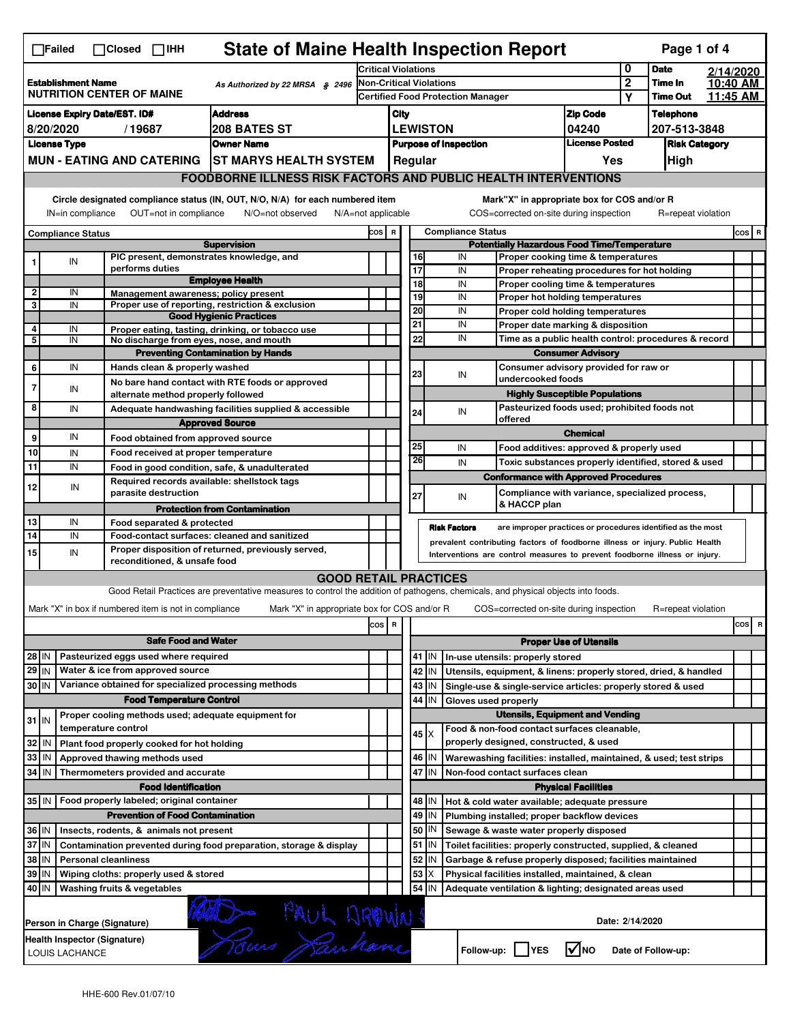|                                                                                                                                                                                                                                                                                       | ∏Failed                   |                                  | $\Box$ Closed $\Box$ IHH                              |                                                                                             |                                              |                                                                       |                                                    |          |                 | <b>State of Maine Health Inspection Report</b>                                                                                    |                               |                       | Page 1 of 4                |                      |         |   |
|---------------------------------------------------------------------------------------------------------------------------------------------------------------------------------------------------------------------------------------------------------------------------------------|---------------------------|----------------------------------|-------------------------------------------------------|---------------------------------------------------------------------------------------------|----------------------------------------------|-----------------------------------------------------------------------|----------------------------------------------------|----------|-----------------|-----------------------------------------------------------------------------------------------------------------------------------|-------------------------------|-----------------------|----------------------------|----------------------|---------|---|
|                                                                                                                                                                                                                                                                                       |                           |                                  |                                                       |                                                                                             |                                              | <b>Critical Violations</b>                                            |                                                    |          |                 |                                                                                                                                   |                               | 0                     | <b>Date</b>                | 2/14/2020            |         |   |
|                                                                                                                                                                                                                                                                                       | <b>Establishment Name</b> | <b>NUTRITION CENTER OF MAINE</b> |                                                       |                                                                                             | As Authorized by 22 MRSA $$2496$             | Non-Critical Violations                                               |                                                    |          |                 |                                                                                                                                   |                               | $\boldsymbol{2}$<br>Υ | Time In<br><b>Time Out</b> | 10:40 AM<br>11:45 AM |         |   |
| <b>Address</b><br><b>License Expiry Date/EST. ID#</b>                                                                                                                                                                                                                                 |                           |                                  |                                                       |                                                                                             |                                              |                                                                       | <b>Certified Food Protection Manager</b><br>City   |          |                 |                                                                                                                                   | <b>Zip Code</b>               |                       | <b>Telephone</b>           |                      |         |   |
|                                                                                                                                                                                                                                                                                       | 8/20/2020                 |                                  | /19687                                                | 208 BATES ST                                                                                |                                              |                                                                       |                                                    |          | <b>LEWISTON</b> |                                                                                                                                   | 04240                         |                       | 207-513-3848               |                      |         |   |
|                                                                                                                                                                                                                                                                                       | <b>License Type</b>       |                                  |                                                       | <b>Owner Name</b>                                                                           |                                              |                                                                       |                                                    |          |                 | <b>Purpose of Inspection</b>                                                                                                      | <b>License Posted</b>         |                       | <b>Risk Category</b>       |                      |         |   |
|                                                                                                                                                                                                                                                                                       |                           |                                  |                                                       | MUN - EATING AND CATERING ST MARYS HEALTH SYSTEM                                            |                                              |                                                                       | Regular<br>Yes                                     |          |                 |                                                                                                                                   |                               |                       | High                       |                      |         |   |
|                                                                                                                                                                                                                                                                                       |                           |                                  |                                                       |                                                                                             |                                              | <b>FOODBORNE ILLNESS RISK FACTORS AND PUBLIC HEALTH INTERVENTIONS</b> |                                                    |          |                 |                                                                                                                                   |                               |                       |                            |                      |         |   |
| Circle designated compliance status (IN, OUT, N/O, N/A) for each numbered item<br>Mark"X" in appropriate box for COS and/or R<br>OUT=not in compliance<br>N/A=not applicable<br>COS=corrected on-site during inspection<br>R=repeat violation<br>IN=in compliance<br>N/O=not observed |                           |                                  |                                                       |                                                                                             |                                              |                                                                       |                                                    |          |                 |                                                                                                                                   |                               |                       |                            |                      |         |   |
|                                                                                                                                                                                                                                                                                       |                           |                                  |                                                       |                                                                                             |                                              | <b>Compliance Status</b><br>COS R                                     |                                                    |          |                 |                                                                                                                                   |                               |                       |                            |                      | $cos$ R |   |
|                                                                                                                                                                                                                                                                                       | <b>Compliance Status</b>  |                                  |                                                       | <b>Supervision</b>                                                                          |                                              |                                                                       | <b>Potentially Hazardous Food Time/Temperature</b> |          |                 |                                                                                                                                   |                               |                       |                            |                      |         |   |
| 1                                                                                                                                                                                                                                                                                     | IN                        |                                  |                                                       | PIC present, demonstrates knowledge, and                                                    |                                              |                                                                       |                                                    | 16       |                 | IN<br>Proper cooking time & temperatures                                                                                          |                               |                       |                            |                      |         |   |
|                                                                                                                                                                                                                                                                                       |                           |                                  | performs duties                                       | <b>Employee Health</b>                                                                      |                                              |                                                                       |                                                    | 17<br>18 |                 | IN<br>Proper reheating procedures for hot holding<br>IN                                                                           |                               |                       |                            |                      |         |   |
| $\overline{2}$                                                                                                                                                                                                                                                                        | IN                        |                                  |                                                       | Management awareness; policy present                                                        |                                              |                                                                       |                                                    | 19       |                 | Proper cooling time & temperatures<br>IN<br>Proper hot holding temperatures                                                       |                               |                       |                            |                      |         |   |
| 3                                                                                                                                                                                                                                                                                     | IN                        |                                  |                                                       | Proper use of reporting, restriction & exclusion                                            |                                              |                                                                       |                                                    | 20       |                 | IN<br>Proper cold holding temperatures                                                                                            |                               |                       |                            |                      |         |   |
| 4                                                                                                                                                                                                                                                                                     |                           |                                  |                                                       | <b>Good Hygienic Practices</b>                                                              |                                              |                                                                       |                                                    | 21       |                 | IN<br>Proper date marking & disposition                                                                                           |                               |                       |                            |                      |         |   |
| 5                                                                                                                                                                                                                                                                                     | IN<br>IN                  |                                  |                                                       | Proper eating, tasting, drinking, or tobacco use<br>No discharge from eyes, nose, and mouth |                                              |                                                                       |                                                    | 22       |                 | IN<br>Time as a public health control: procedures & record                                                                        |                               |                       |                            |                      |         |   |
|                                                                                                                                                                                                                                                                                       |                           |                                  |                                                       | <b>Preventing Contamination by Hands</b>                                                    |                                              |                                                                       |                                                    |          |                 |                                                                                                                                   | <b>Consumer Advisory</b>      |                       |                            |                      |         |   |
| 6                                                                                                                                                                                                                                                                                     | IN                        |                                  |                                                       | Hands clean & properly washed                                                               |                                              |                                                                       |                                                    |          |                 | Consumer advisory provided for raw or                                                                                             |                               |                       |                            |                      |         |   |
|                                                                                                                                                                                                                                                                                       |                           |                                  |                                                       | No bare hand contact with RTE foods or approved                                             |                                              |                                                                       |                                                    | 23       |                 | IN<br>undercooked foods                                                                                                           |                               |                       |                            |                      |         |   |
| $\overline{7}$                                                                                                                                                                                                                                                                        | IN                        |                                  |                                                       | alternate method properly followed                                                          |                                              |                                                                       |                                                    |          |                 | <b>Highly Susceptible Populations</b>                                                                                             |                               |                       |                            |                      |         |   |
| 8                                                                                                                                                                                                                                                                                     | IN                        |                                  |                                                       | Adequate handwashing facilities supplied & accessible                                       |                                              |                                                                       |                                                    | 24       |                 | Pasteurized foods used; prohibited foods not<br>IN                                                                                |                               |                       |                            |                      |         |   |
|                                                                                                                                                                                                                                                                                       |                           |                                  |                                                       | <b>Approved Source</b>                                                                      |                                              |                                                                       |                                                    |          |                 | offered                                                                                                                           | <b>Chemical</b>               |                       |                            |                      |         |   |
| 9                                                                                                                                                                                                                                                                                     | IN                        |                                  |                                                       | Food obtained from approved source                                                          |                                              |                                                                       |                                                    | 25       |                 | IN<br>Food additives: approved & properly used                                                                                    |                               |                       |                            |                      |         |   |
| 10                                                                                                                                                                                                                                                                                    | IN                        |                                  |                                                       | Food received at proper temperature                                                         |                                              |                                                                       |                                                    | 26       |                 | IN<br>Toxic substances properly identified, stored & used                                                                         |                               |                       |                            |                      |         |   |
| 11                                                                                                                                                                                                                                                                                    | IN                        |                                  |                                                       | Food in good condition, safe, & unadulterated                                               |                                              |                                                                       |                                                    |          |                 | <b>Conformance with Approved Procedures</b>                                                                                       |                               |                       |                            |                      |         |   |
| 12                                                                                                                                                                                                                                                                                    | IN                        |                                  | parasite destruction                                  | Required records available: shellstock tags                                                 |                                              |                                                                       |                                                    | 27       |                 | Compliance with variance, specialized process,<br>IN                                                                              |                               |                       |                            |                      |         |   |
|                                                                                                                                                                                                                                                                                       |                           |                                  |                                                       | <b>Protection from Contamination</b>                                                        |                                              |                                                                       |                                                    |          |                 | & HACCP plan                                                                                                                      |                               |                       |                            |                      |         |   |
| 13                                                                                                                                                                                                                                                                                    | IN                        |                                  | Food separated & protected                            |                                                                                             |                                              |                                                                       |                                                    |          |                 | <b>Risk Factors</b><br>are improper practices or procedures identified as the most                                                |                               |                       |                            |                      |         |   |
| 14                                                                                                                                                                                                                                                                                    | IN                        |                                  |                                                       | Food-contact surfaces: cleaned and sanitized                                                |                                              |                                                                       |                                                    |          |                 | prevalent contributing factors of foodborne illness or injury. Public Health                                                      |                               |                       |                            |                      |         |   |
| 15                                                                                                                                                                                                                                                                                    | IN                        |                                  | reconditioned, & unsafe food                          | Proper disposition of returned, previously served,                                          |                                              |                                                                       |                                                    |          |                 | Interventions are control measures to prevent foodborne illness or injury.                                                        |                               |                       |                            |                      |         |   |
|                                                                                                                                                                                                                                                                                       |                           |                                  |                                                       |                                                                                             | <b>GOOD RETAIL PRACTICES</b>                 |                                                                       |                                                    |          |                 |                                                                                                                                   |                               |                       |                            |                      |         |   |
|                                                                                                                                                                                                                                                                                       |                           |                                  |                                                       |                                                                                             |                                              |                                                                       |                                                    |          |                 | Good Retail Practices are preventative measures to control the addition of pathogens, chemicals, and physical objects into foods. |                               |                       |                            |                      |         |   |
|                                                                                                                                                                                                                                                                                       |                           |                                  | Mark "X" in box if numbered item is not in compliance |                                                                                             | Mark "X" in appropriate box for COS and/or R |                                                                       |                                                    |          |                 | COS=corrected on-site during inspection                                                                                           |                               |                       | R=repeat violation         |                      |         |   |
|                                                                                                                                                                                                                                                                                       |                           |                                  |                                                       |                                                                                             |                                              | cos                                                                   | $\,$ R                                             |          |                 |                                                                                                                                   |                               |                       |                            |                      | cos     | R |
|                                                                                                                                                                                                                                                                                       |                           |                                  |                                                       | <b>Safe Food and Water</b>                                                                  |                                              |                                                                       |                                                    |          |                 |                                                                                                                                   | <b>Proper Use of Utensils</b> |                       |                            |                      |         |   |
|                                                                                                                                                                                                                                                                                       |                           |                                  | Pasteurized eggs used where required                  |                                                                                             |                                              |                                                                       |                                                    |          |                 |                                                                                                                                   |                               |                       |                            |                      |         |   |
| 28 IN<br>$29$ IN                                                                                                                                                                                                                                                                      |                           |                                  | Water & ice from approved source                      |                                                                                             |                                              |                                                                       |                                                    | 42       | $41$ M<br>IN    | In-use utensils: properly stored                                                                                                  |                               |                       |                            |                      |         |   |
| 30 IN                                                                                                                                                                                                                                                                                 |                           |                                  |                                                       | Variance obtained for specialized processing methods                                        |                                              |                                                                       |                                                    |          | 43   IN         | Utensils, equipment, & linens: properly stored, dried, & handled<br>Single-use & single-service articles: properly stored & used  |                               |                       |                            |                      |         |   |
|                                                                                                                                                                                                                                                                                       |                           |                                  | <b>Food Temperature Control</b>                       |                                                                                             |                                              |                                                                       |                                                    |          | 44 IN           | Gloves used properly                                                                                                              |                               |                       |                            |                      |         |   |
|                                                                                                                                                                                                                                                                                       |                           |                                  |                                                       |                                                                                             |                                              |                                                                       |                                                    |          |                 | <b>Utensils, Equipment and Vending</b>                                                                                            |                               |                       |                            |                      |         |   |
| $31$ IN                                                                                                                                                                                                                                                                               |                           | temperature control              |                                                       | Proper cooling methods used; adequate equipment for                                         |                                              |                                                                       |                                                    |          |                 | Food & non-food contact surfaces cleanable,                                                                                       |                               |                       |                            |                      |         |   |
| 32                                                                                                                                                                                                                                                                                    | l IN                      |                                  | Plant food properly cooked for hot holding            |                                                                                             |                                              |                                                                       |                                                    |          | $45 \times$     | properly designed, constructed, & used                                                                                            |                               |                       |                            |                      |         |   |
| 33                                                                                                                                                                                                                                                                                    | IN                        |                                  | Approved thawing methods used                         |                                                                                             |                                              |                                                                       |                                                    |          | 46   IN         | Warewashing facilities: installed, maintained, & used; test strips                                                                |                               |                       |                            |                      |         |   |
| 34                                                                                                                                                                                                                                                                                    | IN                        |                                  | Thermometers provided and accurate                    |                                                                                             |                                              |                                                                       |                                                    | 47       | IN              | Non-food contact surfaces clean                                                                                                   |                               |                       |                            |                      |         |   |
|                                                                                                                                                                                                                                                                                       |                           |                                  | <b>Food Identification</b>                            |                                                                                             |                                              |                                                                       |                                                    |          |                 |                                                                                                                                   | <b>Physical Facilities</b>    |                       |                            |                      |         |   |
|                                                                                                                                                                                                                                                                                       |                           |                                  | 35 IN   Food properly labeled; original container     |                                                                                             |                                              |                                                                       |                                                    |          | 48   IN         | Hot & cold water available; adequate pressure                                                                                     |                               |                       |                            |                      |         |   |
|                                                                                                                                                                                                                                                                                       |                           |                                  |                                                       | <b>Prevention of Food Contamination</b>                                                     |                                              |                                                                       |                                                    |          | 49 IN           | Plumbing installed; proper backflow devices                                                                                       |                               |                       |                            |                      |         |   |
| 36 IN                                                                                                                                                                                                                                                                                 |                           |                                  | Insects, rodents, & animals not present               |                                                                                             |                                              |                                                                       |                                                    | 50       | IN              | Sewage & waste water properly disposed                                                                                            |                               |                       |                            |                      |         |   |
| 37 IN                                                                                                                                                                                                                                                                                 |                           |                                  |                                                       | Contamination prevented during food preparation, storage & display                          |                                              |                                                                       |                                                    |          | $51$ $\vert$ IN | Toilet facilities: properly constructed, supplied, & cleaned                                                                      |                               |                       |                            |                      |         |   |
| 38 IN                                                                                                                                                                                                                                                                                 |                           | <b>Personal cleanliness</b>      |                                                       |                                                                                             |                                              |                                                                       |                                                    | 52       | IN              | Garbage & refuse properly disposed; facilities maintained                                                                         |                               |                       |                            |                      |         |   |
| 39 IN                                                                                                                                                                                                                                                                                 |                           |                                  | Wiping cloths: properly used & stored                 |                                                                                             |                                              |                                                                       |                                                    | 53       | х               | Physical facilities installed, maintained, & clean                                                                                |                               |                       |                            |                      |         |   |
| 40 IN                                                                                                                                                                                                                                                                                 |                           | Washing fruits & vegetables      |                                                       |                                                                                             |                                              |                                                                       |                                                    | 54       | IN              | Adequate ventilation & lighting; designated areas used                                                                            |                               |                       |                            |                      |         |   |
| Bo PAUL DROWN<br>Date: 2/14/2020<br>Person in Charge (Signature)                                                                                                                                                                                                                      |                           |                                  |                                                       |                                                                                             |                                              |                                                                       |                                                    |          |                 |                                                                                                                                   |                               |                       |                            |                      |         |   |
|                                                                                                                                                                                                                                                                                       |                           |                                  |                                                       |                                                                                             |                                              |                                                                       |                                                    |          |                 |                                                                                                                                   |                               |                       |                            |                      |         |   |
|                                                                                                                                                                                                                                                                                       | LOUIS LACHANCE            | Health Inspector (Signature)     |                                                       |                                                                                             |                                              |                                                                       |                                                    |          |                 | Follow-up: YES                                                                                                                    | $\sqrt{ }$ NO                 |                       | Date of Follow-up:         |                      |         |   |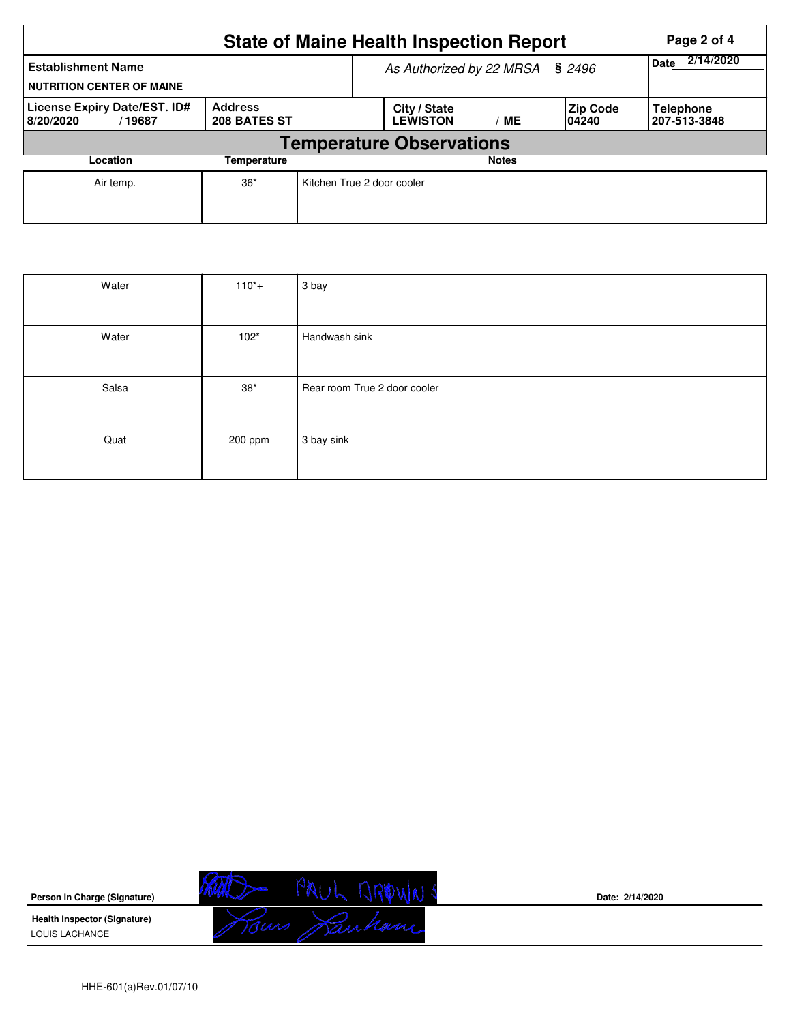|                                                                                       |       | <b>State of Maine Health Inspection Report</b><br>Page 2 of 4 |                                 |    |                    |                                  |  |  |
|---------------------------------------------------------------------------------------|-------|---------------------------------------------------------------|---------------------------------|----|--------------------|----------------------------------|--|--|
| <b>Establishment Name</b><br><b>NUTRITION CENTER OF MAINE</b>                         |       | As Authorized by 22 MRSA § 2496                               | 2/14/2020<br><b>Date</b>        |    |                    |                                  |  |  |
| <b>Address</b><br>License Expiry Date/EST. ID#<br>208 BATES ST<br>8/20/2020<br>/19687 |       |                                                               | City / State<br><b>LEWISTON</b> | ME | Zip Code<br>104240 | <b>Telephone</b><br>207-513-3848 |  |  |
| <b>Temperature Observations</b>                                                       |       |                                                               |                                 |    |                    |                                  |  |  |
| Location                                                                              |       |                                                               | <b>Notes</b>                    |    |                    |                                  |  |  |
| Air temp.                                                                             | $36*$ | Kitchen True 2 door cooler                                    |                                 |    |                    |                                  |  |  |

| Water | $110^{*}+$ | 3 bay                        |
|-------|------------|------------------------------|
|       |            |                              |
| Water | $102*$     | Handwash sink                |
|       |            |                              |
| Salsa | $38*$      | Rear room True 2 door cooler |
|       |            |                              |
| Quat  | 200 ppm    | 3 bay sink                   |
|       |            |                              |



**Date: 2/14/2020**

HHE-601(a)Rev.01/07/10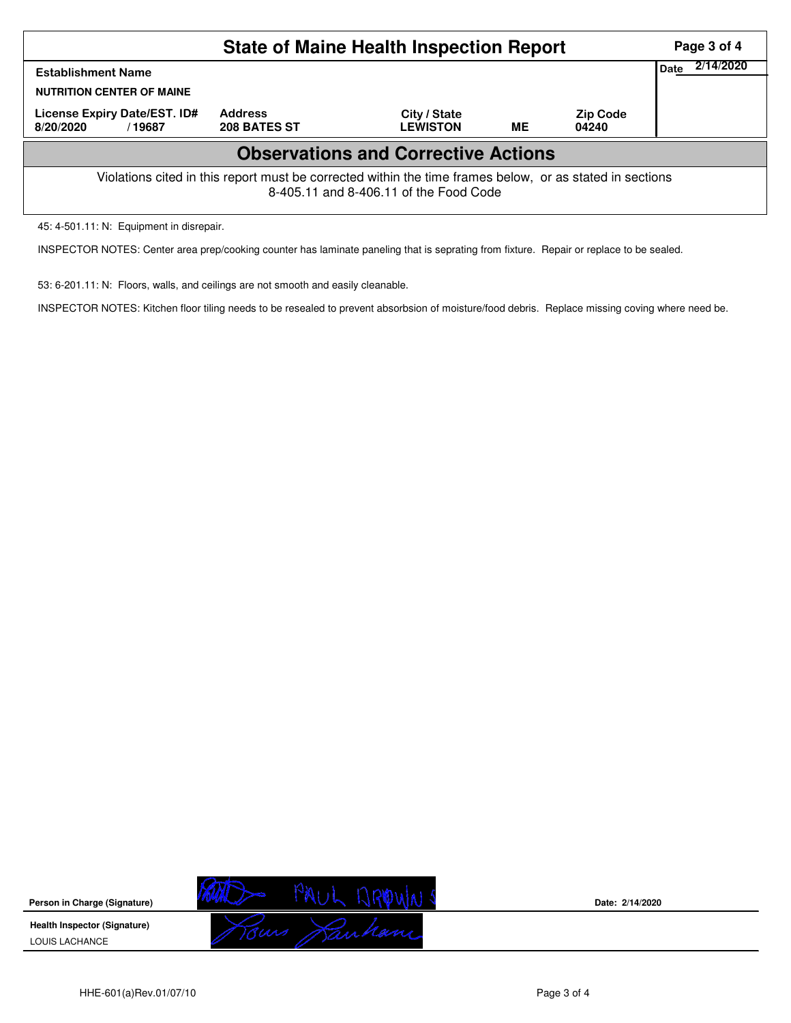|                                                                                                                                                    | Page 3 of 4                    |                                 |    |                          |  |  |  |  |
|----------------------------------------------------------------------------------------------------------------------------------------------------|--------------------------------|---------------------------------|----|--------------------------|--|--|--|--|
| <b>Establishment Name</b><br><b>NUTRITION CENTER OF MAINE</b>                                                                                      | 2/14/2020<br>Date              |                                 |    |                          |  |  |  |  |
| License Expiry Date/EST. ID#<br>8/20/2020<br>/19687                                                                                                | <b>Address</b><br>208 BATES ST | City / State<br><b>LEWISTON</b> | ME | <b>Zip Code</b><br>04240 |  |  |  |  |
| <b>Observations and Corrective Actions</b>                                                                                                         |                                |                                 |    |                          |  |  |  |  |
| Violations cited in this report must be corrected within the time frames below, or as stated in sections<br>8-405.11 and 8-406.11 of the Food Code |                                |                                 |    |                          |  |  |  |  |

45: 4-501.11: N: Equipment in disrepair.

INSPECTOR NOTES: Center area prep/cooking counter has laminate paneling that is seprating from fixture. Repair or replace to be sealed.

53: 6-201.11: N: Floors, walls, and ceilings are not smooth and easily cleanable.

INSPECTOR NOTES: Kitchen floor tiling needs to be resealed to prevent absorbsion of moisture/food debris. Replace missing coving where need be.



**Date: 2/14/2020**